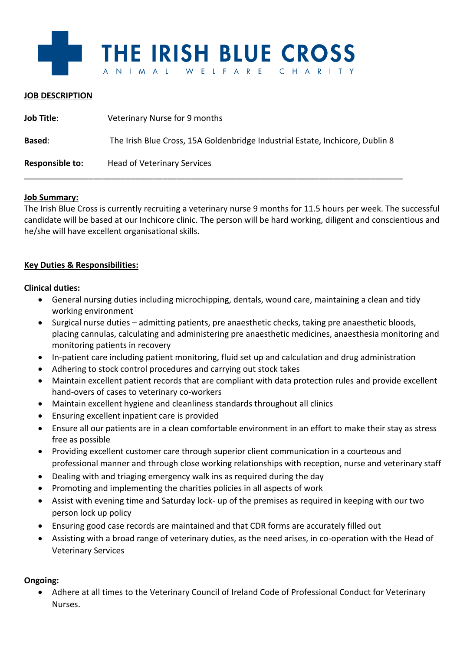

### **JOB DESCRIPTION**

| <b>Job Title:</b> | Veterinary Nurse for 9 months                                                 |
|-------------------|-------------------------------------------------------------------------------|
| <b>Based:</b>     | The Irish Blue Cross, 15A Goldenbridge Industrial Estate, Inchicore, Dublin 8 |
| Responsible to:   | <b>Head of Veterinary Services</b>                                            |

### **Job Summary:**

The Irish Blue Cross is currently recruiting a veterinary nurse 9 months for 11.5 hours per week. The successful candidate will be based at our Inchicore clinic. The person will be hard working, diligent and conscientious and he/she will have excellent organisational skills.

# **Key Duties & Responsibilities:**

### **Clinical duties:**

- General nursing duties including microchipping, dentals, wound care, maintaining a clean and tidy working environment
- Surgical nurse duties admitting patients, pre anaesthetic checks, taking pre anaesthetic bloods, placing cannulas, calculating and administering pre anaesthetic medicines, anaesthesia monitoring and monitoring patients in recovery
- In-patient care including patient monitoring, fluid set up and calculation and drug administration
- Adhering to stock control procedures and carrying out stock takes
- Maintain excellent patient records that are compliant with data protection rules and provide excellent hand-overs of cases to veterinary co-workers
- Maintain excellent hygiene and cleanliness standards throughout all clinics
- Ensuring excellent inpatient care is provided
- Ensure all our patients are in a clean comfortable environment in an effort to make their stay as stress free as possible
- Providing excellent customer care through superior client communication in a courteous and professional manner and through close working relationships with reception, nurse and veterinary staff
- Dealing with and triaging emergency walk ins as required during the day
- Promoting and implementing the charities policies in all aspects of work
- Assist with evening time and Saturday lock- up of the premises as required in keeping with our two person lock up policy
- Ensuring good case records are maintained and that CDR forms are accurately filled out
- Assisting with a broad range of veterinary duties, as the need arises, in co-operation with the Head of Veterinary Services

# **Ongoing:**

• Adhere at all times to the Veterinary Council of Ireland Code of Professional Conduct for Veterinary Nurses.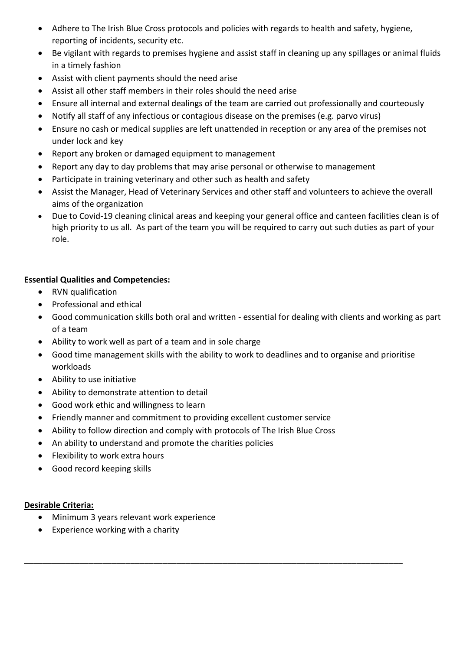- Adhere to The Irish Blue Cross protocols and policies with regards to health and safety, hygiene, reporting of incidents, security etc.
- Be vigilant with regards to premises hygiene and assist staff in cleaning up any spillages or animal fluids in a timely fashion
- Assist with client payments should the need arise
- Assist all other staff members in their roles should the need arise
- Ensure all internal and external dealings of the team are carried out professionally and courteously
- Notify all staff of any infectious or contagious disease on the premises (e.g. parvo virus)
- Ensure no cash or medical supplies are left unattended in reception or any area of the premises not under lock and key
- Report any broken or damaged equipment to management
- Report any day to day problems that may arise personal or otherwise to management
- Participate in training veterinary and other such as health and safety
- Assist the Manager, Head of Veterinary Services and other staff and volunteers to achieve the overall aims of the organization
- Due to Covid-19 cleaning clinical areas and keeping your general office and canteen facilities clean is of high priority to us all. As part of the team you will be required to carry out such duties as part of your role.

# **Essential Qualities and Competencies:**

- RVN qualification
- Professional and ethical
- Good communication skills both oral and written essential for dealing with clients and working as part of a team
- Ability to work well as part of a team and in sole charge
- Good time management skills with the ability to work to deadlines and to organise and prioritise workloads
- Ability to use initiative
- Ability to demonstrate attention to detail
- Good work ethic and willingness to learn
- Friendly manner and commitment to providing excellent customer service
- Ability to follow direction and comply with protocols of The Irish Blue Cross

\_\_\_\_\_\_\_\_\_\_\_\_\_\_\_\_\_\_\_\_\_\_\_\_\_\_\_\_\_\_\_\_\_\_\_\_\_\_\_\_\_\_\_\_\_\_\_\_\_\_\_\_\_\_\_\_\_\_\_\_\_\_\_\_\_\_\_\_\_\_\_\_\_\_\_\_\_\_\_\_\_\_

- An ability to understand and promote the charities policies
- Flexibility to work extra hours
- Good record keeping skills

# **Desirable Criteria:**

- Minimum 3 years relevant work experience
- Experience working with a charity